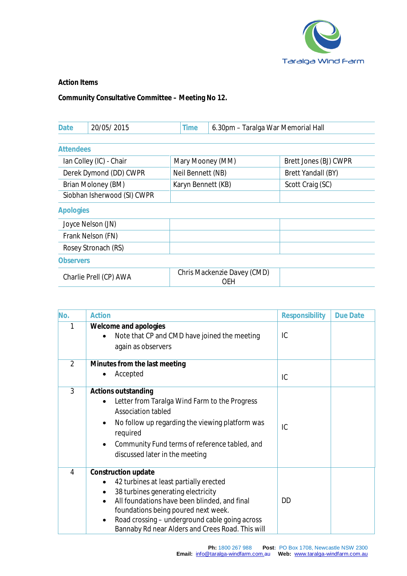

## **Action Items**

**Community Consultative Committee – Meeting No 12.** 

| Date                        | 20/05/2015          | Time                               | 6.30pm - Taralga War Memorial Hall |                       |  |
|-----------------------------|---------------------|------------------------------------|------------------------------------|-----------------------|--|
|                             |                     |                                    |                                    |                       |  |
| <b>Attendees</b>            |                     |                                    |                                    |                       |  |
| Ian Colley (IC) - Chair     |                     | Mary Mooney (MM)                   |                                    | Brett Jones (BJ) CWPR |  |
| Derek Dymond (DD) CWPR      |                     | Neil Bennett (NB)                  |                                    | Brett Yandall (BY)    |  |
| Brian Moloney (BM)          |                     | Karyn Bennett (KB)                 |                                    | Scott Craig (SC)      |  |
| Siobhan Isherwood (SI) CWPR |                     |                                    |                                    |                       |  |
| <b>Apologies</b>            |                     |                                    |                                    |                       |  |
|                             | Joyce Nelson (JN)   |                                    |                                    |                       |  |
|                             | Frank Nelson (FN)   |                                    |                                    |                       |  |
|                             | Rosey Stronach (RS) |                                    |                                    |                       |  |
| <b>Observers</b>            |                     |                                    |                                    |                       |  |
| Charlie Prell (CP) AWA      |                     | Chris Mackenzie Davey (CMD)<br>OFH |                                    |                       |  |

| No. | <b>Action</b>                                                                                                                                                                                                                                                                                                 | Responsibility | <b>Due Date</b> |
|-----|---------------------------------------------------------------------------------------------------------------------------------------------------------------------------------------------------------------------------------------------------------------------------------------------------------------|----------------|-----------------|
| 1   | Welcome and apologies<br>Note that CP and CMD have joined the meeting<br>again as observers                                                                                                                                                                                                                   | IC             |                 |
| 2   | Minutes from the last meeting<br>Accepted                                                                                                                                                                                                                                                                     | IC             |                 |
| 3   | Actions outstanding<br>Letter from Taralga Wind Farm to the Progress<br><b>Association tabled</b><br>No follow up regarding the viewing platform was<br>required<br>Community Fund terms of reference tabled, and<br>discussed later in the meeting                                                           | IC             |                 |
| 4   | Construction update<br>42 turbines at least partially erected<br>38 turbines generating electricity<br>All foundations have been blinded, and final<br>$\bullet$<br>foundations being poured next week.<br>Road crossing – underground cable going across<br>Bannaby Rd near Alders and Crees Road. This will | DD.            |                 |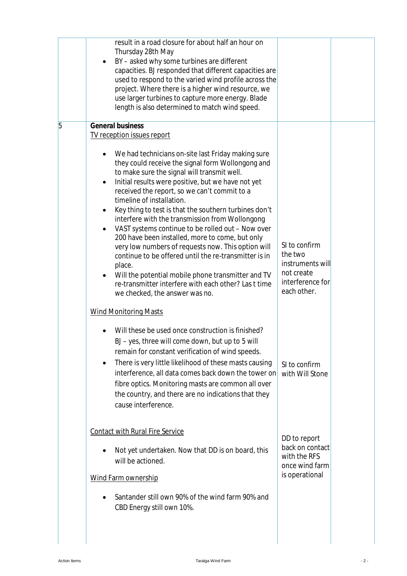|   | result in a road closure for about half an hour on<br>Thursday 28th May<br>BY - asked why some turbines are different<br>$\bullet$<br>capacities. BJ responded that different capacities are<br>used to respond to the varied wind profile across the<br>project. Where there is a higher wind resource, we<br>use larger turbines to capture more energy. Blade<br>length is also determined to match wind speed.                                                                                                                                                                                                                                                                                                                                                                                                                                                                                 |                                                                                               |  |
|---|----------------------------------------------------------------------------------------------------------------------------------------------------------------------------------------------------------------------------------------------------------------------------------------------------------------------------------------------------------------------------------------------------------------------------------------------------------------------------------------------------------------------------------------------------------------------------------------------------------------------------------------------------------------------------------------------------------------------------------------------------------------------------------------------------------------------------------------------------------------------------------------------------|-----------------------------------------------------------------------------------------------|--|
| 5 | <b>General business</b>                                                                                                                                                                                                                                                                                                                                                                                                                                                                                                                                                                                                                                                                                                                                                                                                                                                                            |                                                                                               |  |
|   | <b>TV</b> reception issues report<br>We had technicians on-site last Friday making sure<br>they could receive the signal form Wollongong and<br>to make sure the signal will transmit well.<br>Initial results were positive, but we have not yet<br>$\bullet$<br>received the report, so we can't commit to a<br>timeline of installation.<br>Key thing to test is that the southern turbines don't<br>$\bullet$<br>interfere with the transmission from Wollongong<br>VAST systems continue to be rolled out - Now over<br>$\bullet$<br>200 have been installed, more to come, but only<br>very low numbers of requests now. This option will<br>continue to be offered until the re-transmitter is in<br>place.<br>Will the potential mobile phone transmitter and TV<br>re-transmitter interfere with each other? Las t time<br>we checked, the answer was no.<br><b>Wind Monitoring Masts</b> | SI to confirm<br>the two<br>instruments will<br>not create<br>interference for<br>each other. |  |
|   | Will these be used once construction is finished?<br>BJ – yes, three will come down, but up to 5 will<br>remain for constant verification of wind speeds.<br>There is very little likelihood of these masts causing<br>$\bullet$<br>interference, all data comes back down the tower on<br>fibre optics. Monitoring masts are common all over<br>the country, and there are no indications that they<br>cause interference.                                                                                                                                                                                                                                                                                                                                                                                                                                                                        | SI to confirm<br>with Will Stone                                                              |  |
|   | <b>Contact with Rural Fire Service</b><br>Not yet undertaken. Now that DD is on board, this<br>will be actioned.<br><b>Wind Farm ownership</b><br>Santander still own 90% of the wind farm 90% and<br>CBD Energy still own 10%.                                                                                                                                                                                                                                                                                                                                                                                                                                                                                                                                                                                                                                                                    | DD to report<br>back on contact<br>with the RFS<br>once wind farm<br>is operational           |  |
|   |                                                                                                                                                                                                                                                                                                                                                                                                                                                                                                                                                                                                                                                                                                                                                                                                                                                                                                    |                                                                                               |  |